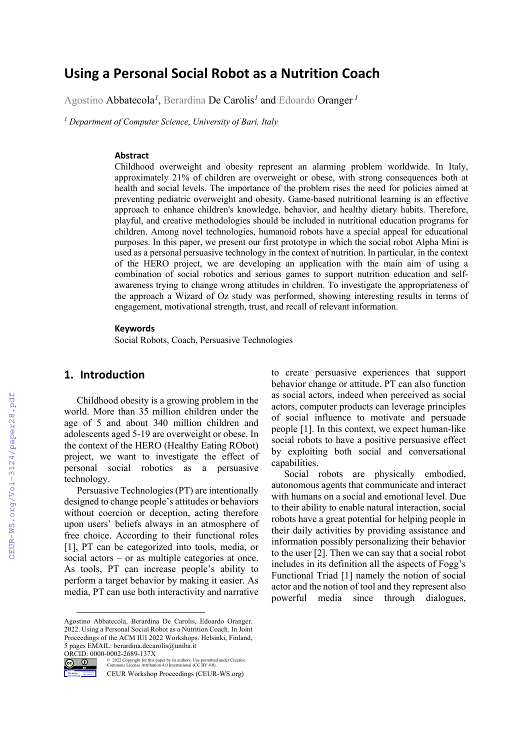# **Using a Personal Social Robot as a Nutrition Coach**

Agostino Abbatecola*<sup>1</sup>* , Berardina De Carolis*<sup>1</sup>* and Edoardo Oranger *<sup>1</sup>*

*<sup>1</sup> Department of Computer Science, University of Bari, Italy*

#### **Abstract**

Childhood overweight and obesity represent an alarming problem worldwide. In Italy, approximately 21% of children are overweight or obese, with strong consequences both at health and social levels. The importance of the problem rises the need for policies aimed at preventing pediatric overweight and obesity. Game-based nutritional learning is an effective approach to enhance children's knowledge, behavior, and healthy dietary habits. Therefore, playful, and creative methodologies should be included in nutritional education programs for children. Among novel technologies, humanoid robots have a special appeal for educational purposes. In this paper, we present our first prototype in which the social robot Alpha Mini is used as a personal persuasive technology in the context of nutrition. In particular, in the context of the HERO project, we are developing an application with the main aim of using a combination of social robotics and serious games to support nutrition education and selfawareness trying to change wrong attitudes in children. To investigate the appropriateness of the approach a Wizard of Oz study was performed, showing interesting results in terms of engagement, motivational strength, trust, and recall of relevant information.

#### **Keywords**

Social Robots, Coach, Persuasive Technologies

## **1. Introduction**

Childhood obesity is a growing problem in the world. More than 35 million children under the age of 5 and about 340 million children and adolescents aged 5-19 are overweight or obese. In the context of the HERO (Healthy Eating RObot) project, we want to investigate the effect of personal social robotics as a persuasive technology.

Persuasive Technologies (PT) are intentionally designed to change people's attitudes or behaviors without coercion or deception, acting therefore upon users' beliefs always in an atmosphere of free choice. According to their functional roles [1], PT can be categorized into tools, media, or social actors – or as multiple categories at once. As tools, PT can increase people's ability to perform a target behavior by making it easier. As media, PT can use both interactivity and narrative

ORCID: 0000-0002-2689-137X<br>
Commons License Attribution<br>
Commons License Attribution



Proceedings

to create persuasive experiences that support behavior change or attitude. PT can also function as social actors, indeed when perceived as social actors, computer products can leverage principles of social influence to motivate and persuade people [1]. In this context, we expect human-like social robots to have a positive persuasive effect by exploiting both social and conversational capabilities.

Social robots are physically embodied, autonomous agents that communicate and interact with humans on a social and emotional level. Due to their ability to enable natural interaction, social robots have a great potential for helping people in their daily activities by providing assistance and information possibly personalizing their behavior to the user [2]. Then we can say that a social robot includes in its definition all the aspects of Fogg's Functional Triad [1] namely the notion of social actor and the notion of tool and they represent also powerful media since through dialogues,

Agostino Abbatecola, Berardina De Carolis, Edoardo Oranger. 2022. Using a Personal Social Robot as a Nutrition Coach. In Joint Proceedings of the ACM IUI 2022 Workshops. Helsinki, Finland, 5 pages EMAIL: berardina.decarolis@uniba.it

<sup>©</sup> 2022 Copyright for this paper by its authors. Use permitted under Creative Commons License Attribution 4.0 International (CC BY 4.0).

CEUR Workshop Proceedings (CEUR-WS.org)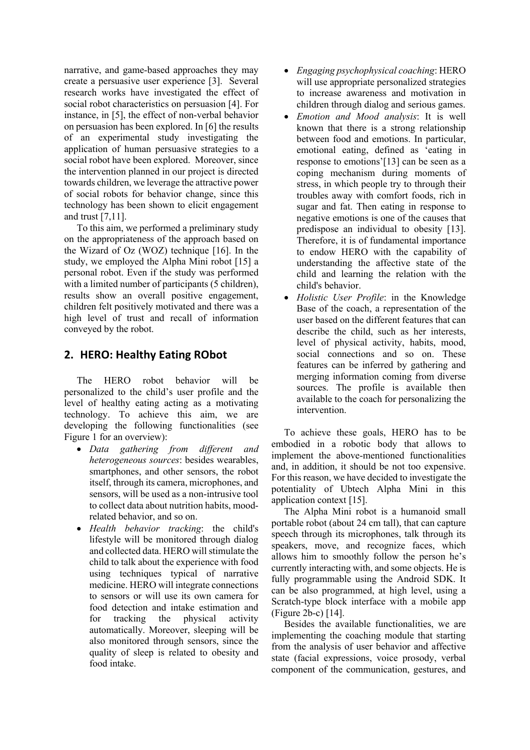narrative, and game-based approaches they may create a persuasive user experience [3]. Several research works have investigated the effect of social robot characteristics on persuasion [4]. For instance, in [5], the effect of non-verbal behavior on persuasion has been explored. In [6] the results of an experimental study investigating the application of human persuasive strategies to a social robot have been explored. Moreover, since the intervention planned in our project is directed towards children, we leverage the attractive power of social robots for behavior change, since this technology has been shown to elicit engagement and trust [7,11].

To this aim, we performed a preliminary study on the appropriateness of the approach based on the Wizard of Oz (WOZ) technique [16]. In the study, we employed the Alpha Mini robot [15] a personal robot. Even if the study was performed with a limited number of participants (5 children), results show an overall positive engagement, children felt positively motivated and there was a high level of trust and recall of information conveyed by the robot.

## **2. HERO: Healthy Eating RObot**

The HERO robot behavior will be personalized to the child's user profile and the level of healthy eating acting as a motivating technology. To achieve this aim, we are developing the following functionalities (see Figure 1 for an overview):

- *Data gathering from different and heterogeneous sources*: besides wearables, smartphones, and other sensors, the robot itself, through its camera, microphones, and sensors, will be used as a non-intrusive tool to collect data about nutrition habits, moodrelated behavior, and so on.
- *Health behavior tracking*: the child's lifestyle will be monitored through dialog and collected data. HERO will stimulate the child to talk about the experience with food using techniques typical of narrative medicine. HERO will integrate connections to sensors or will use its own camera for food detection and intake estimation and for tracking the physical activity automatically. Moreover, sleeping will be also monitored through sensors, since the quality of sleep is related to obesity and food intake.
- *Engaging psychophysical coaching*: HERO will use appropriate personalized strategies to increase awareness and motivation in children through dialog and serious games.
- *Emotion and Mood analysis*: It is well known that there is a strong relationship between food and emotions. In particular, emotional eating, defined as 'eating in response to emotions'[13] can be seen as a coping mechanism during moments of stress, in which people try to through their troubles away with comfort foods, rich in sugar and fat. Then eating in response to negative emotions is one of the causes that predispose an individual to obesity [13]. Therefore, it is of fundamental importance to endow HERO with the capability of understanding the affective state of the child and learning the relation with the child's behavior.
- *Holistic User Profile*: in the Knowledge Base of the coach, a representation of the user based on the different features that can describe the child, such as her interests, level of physical activity, habits, mood, social connections and so on. These features can be inferred by gathering and merging information coming from diverse sources. The profile is available then available to the coach for personalizing the intervention.

To achieve these goals, HERO has to be embodied in a robotic body that allows to implement the above-mentioned functionalities and, in addition, it should be not too expensive. For this reason, we have decided to investigate the potentiality of Ubtech Alpha Mini in this application context [15].

The Alpha Mini robot is a humanoid small portable robot (about 24 cm tall), that can capture speech through its microphones, talk through its speakers, move, and recognize faces, which allows him to smoothly follow the person he's currently interacting with, and some objects. He is fully programmable using the Android SDK. It can be also programmed, at high level, using a Scratch-type block interface with a mobile app (Figure 2b-c) [14].

Besides the available functionalities, we are implementing the coaching module that starting from the analysis of user behavior and affective state (facial expressions, voice prosody, verbal component of the communication, gestures, and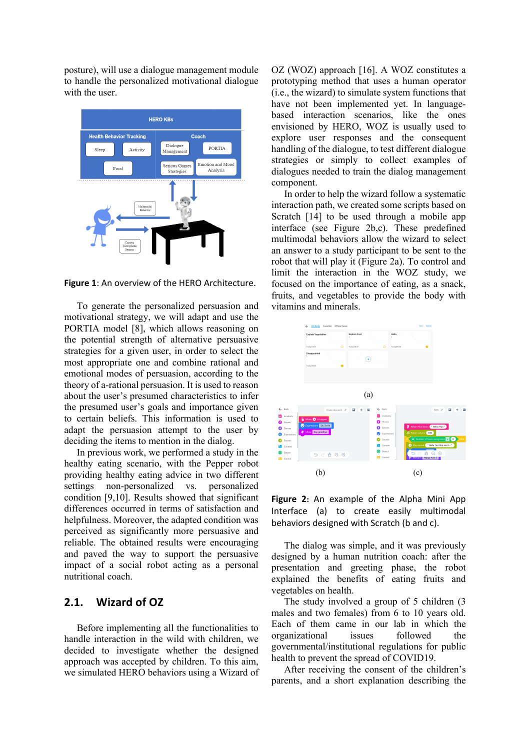posture), will use a dialogue management module to handle the personalized motivational dialogue with the user.



**Figure 1**: An overview of the HERO Architecture.

To generate the personalized persuasion and motivational strategy, we will adapt and use the PORTIA model [8], which allows reasoning on the potential strength of alternative persuasive strategies for a given user, in order to select the most appropriate one and combine rational and emotional modes of persuasion, according to the theory of a-rational persuasion. It is used to reason about the user's presumed characteristics to infer the presumed user's goals and importance given to certain beliefs. This information is used to adapt the persuasion attempt to the user by deciding the items to mention in the dialog.

In previous work, we performed a study in the healthy eating scenario, with the Pepper robot providing healthy eating advice in two different settings non-personalized vs. personalized condition [9,10]. Results showed that significant differences occurred in terms of satisfaction and helpfulness. Moreover, the adapted condition was perceived as significantly more persuasive and reliable. The obtained results were encouraging and paved the way to support the persuasive impact of a social robot acting as a personal nutritional coach.

## **2.1. Wizard of OZ**

Before implementing all the functionalities to handle interaction in the wild with children, we decided to investigate whether the designed approach was accepted by children. To this aim, we simulated HERO behaviors using a Wizard of

OZ (WOZ) approach [16]. A WOZ constitutes a prototyping method that uses a human operator (i.e., the wizard) to simulate system functions that have not been implemented yet. In languagebased interaction scenarios, like the ones envisioned by HERO, WOZ is usually used to explore user responses and the consequent handling of the dialogue, to test different dialogue strategies or simply to collect examples of dialogues needed to train the dialog management component.

In order to help the wizard follow a systematic interaction path, we created some scripts based on Scratch [14] to be used through a mobile app interface (see Figure 2b,c). These predefined multimodal behaviors allow the wizard to select an answer to a study participant to be sent to the robot that will play it (Figure 2a). To control and limit the interaction in the WOZ study, we focused on the importance of eating, as a snack, fruits, and vegetables to provide the body with vitamins and minerals.



**Figure 2:** An example of the Alpha Mini App Interface (a) to create easily multimodal behaviors designed with Scratch (b and c).

The dialog was simple, and it was previously designed by a human nutrition coach: after the presentation and greeting phase, the robot explained the benefits of eating fruits and vegetables on health.

The study involved a group of 5 children (3 males and two females) from 6 to 10 years old. Each of them came in our lab in which the organizational issues followed the governmental/institutional regulations for public health to prevent the spread of COVID19.

After receiving the consent of the children's parents, and a short explanation describing the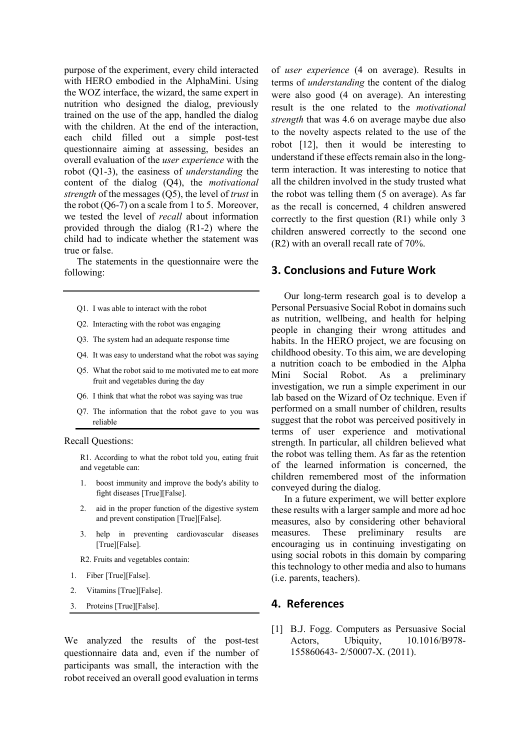purpose of the experiment, every child interacted with HERO embodied in the AlphaMini. Using the WOZ interface, the wizard, the same expert in nutrition who designed the dialog, previously trained on the use of the app, handled the dialog with the children. At the end of the interaction, each child filled out a simple post-test questionnaire aiming at assessing, besides an overall evaluation of the *user experience* with the robot (Q1-3), the easiness of *understanding* the content of the dialog (Q4), the *motivational strength* of the messages (Q5), the level of *trust* in the robot  $(Q6-7)$  on a scale from 1 to 5. Moreover, we tested the level of *recall* about information provided through the dialog (R1-2) where the child had to indicate whether the statement was true or false.

The statements in the questionnaire were the following:

- Q1. I was able to interact with the robot
- Q2. Interacting with the robot was engaging
- Q3. The system had an adequate response time
- Q4. It was easy to understand what the robot was saying
- Q5. What the robot said to me motivated me to eat more fruit and vegetables during the day
- Q6. I think that what the robot was saying was true
- Q7. The information that the robot gave to you was reliable

#### Recall Questions:

R1. According to what the robot told you, eating fruit and vegetable can:

- 1. boost immunity and improve the body's ability to fight diseases [True][False].
- 2. aid in the proper function of the digestive system and prevent constipation [True][False].
- 3. help in preventing cardiovascular diseases [True][False].

R2. Fruits and vegetables contain:

- 1. Fiber [True][False].
- 2. Vitamins [True][False].
- 3. Proteins [True][False].

We analyzed the results of the post-test questionnaire data and, even if the number of participants was small, the interaction with the robot received an overall good evaluation in terms

of *user experience* (4 on average). Results in terms of *understanding* the content of the dialog were also good (4 on average). An interesting result is the one related to the *motivational strength* that was 4.6 on average maybe due also to the novelty aspects related to the use of the robot [12], then it would be interesting to understand if these effects remain also in the longterm interaction. It was interesting to notice that all the children involved in the study trusted what the robot was telling them (5 on average). As far as the recall is concerned, 4 children answered correctly to the first question (R1) while only 3 children answered correctly to the second one (R2) with an overall recall rate of 70%.

#### **3. Conclusions and Future Work**

Our long-term research goal is to develop a Personal Persuasive Social Robot in domains such as nutrition, wellbeing, and health for helping people in changing their wrong attitudes and habits. In the HERO project, we are focusing on childhood obesity. To this aim, we are developing a nutrition coach to be embodied in the Alpha Mini Social Robot. As a preliminary investigation, we run a simple experiment in our lab based on the Wizard of Oz technique. Even if performed on a small number of children, results suggest that the robot was perceived positively in terms of user experience and motivational strength. In particular, all children believed what the robot was telling them. As far as the retention of the learned information is concerned, the children remembered most of the information conveyed during the dialog.

In a future experiment, we will better explore these results with a larger sample and more ad hoc measures, also by considering other behavioral measures. These preliminary results are encouraging us in continuing investigating on using social robots in this domain by comparing this technology to other media and also to humans (i.e. parents, teachers).

## **4. References**

[1] B.J. Fogg. Computers as Persuasive Social Actors, Ubiquity, 10.1016/B978- 155860643- 2/50007-X. (2011).